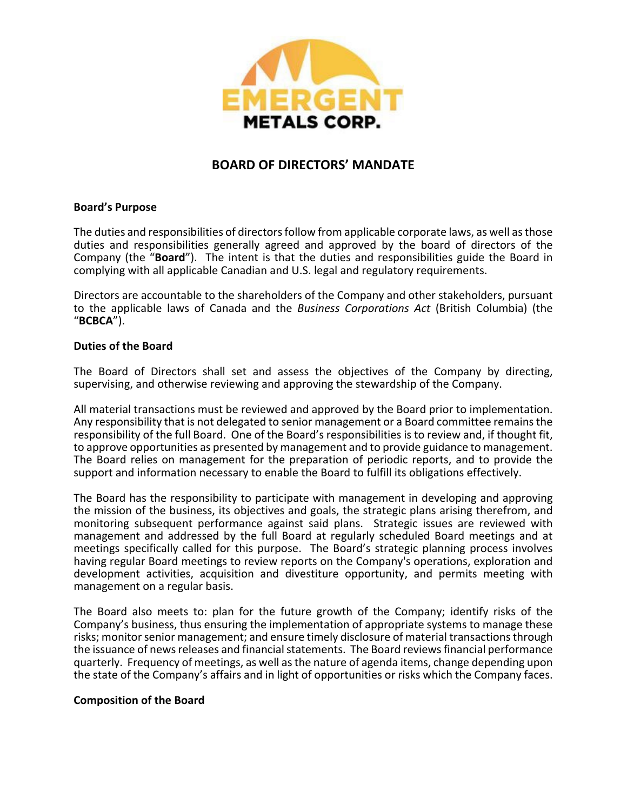

# **BOARD OF DIRECTORS' MANDATE**

## **Board's Purpose**

The duties and responsibilities of directors follow from applicable corporate laws, as well as those duties and responsibilities generally agreed and approved by the board of directors of the Company (the "**Board**"). The intent is that the duties and responsibilities guide the Board in complying with all applicable Canadian and U.S. legal and regulatory requirements.

Directors are accountable to the shareholders of the Company and other stakeholders, pursuant to the applicable laws of Canada and the *Business Corporations Act* (British Columbia) (the "**BCBCA**").

## **Duties of the Board**

The Board of Directors shall set and assess the objectives of the Company by directing, supervising, and otherwise reviewing and approving the stewardship of the Company.

All material transactions must be reviewed and approved by the Board prior to implementation. Any responsibility that is not delegated to senior management or a Board committee remains the responsibility of the full Board. One of the Board's responsibilities is to review and, if thought fit, to approve opportunities as presented by management and to provide guidance to management. The Board relies on management for the preparation of periodic reports, and to provide the support and information necessary to enable the Board to fulfill its obligations effectively.

The Board has the responsibility to participate with management in developing and approving the mission of the business, its objectives and goals, the strategic plans arising therefrom, and monitoring subsequent performance against said plans. Strategic issues are reviewed with management and addressed by the full Board at regularly scheduled Board meetings and at meetings specifically called for this purpose. The Board's strategic planning process involves having regular Board meetings to review reports on the Company's operations, exploration and development activities, acquisition and divestiture opportunity, and permits meeting with management on a regular basis.

The Board also meets to: plan for the future growth of the Company; identify risks of the Company's business, thus ensuring the implementation of appropriate systems to manage these risks; monitor senior management; and ensure timely disclosure of material transactions through the issuance of news releases and financial statements. The Board reviews financial performance quarterly. Frequency of meetings, as well as the nature of agenda items, change depending upon the state of the Company's affairs and in light of opportunities or risks which the Company faces.

### **Composition of the Board**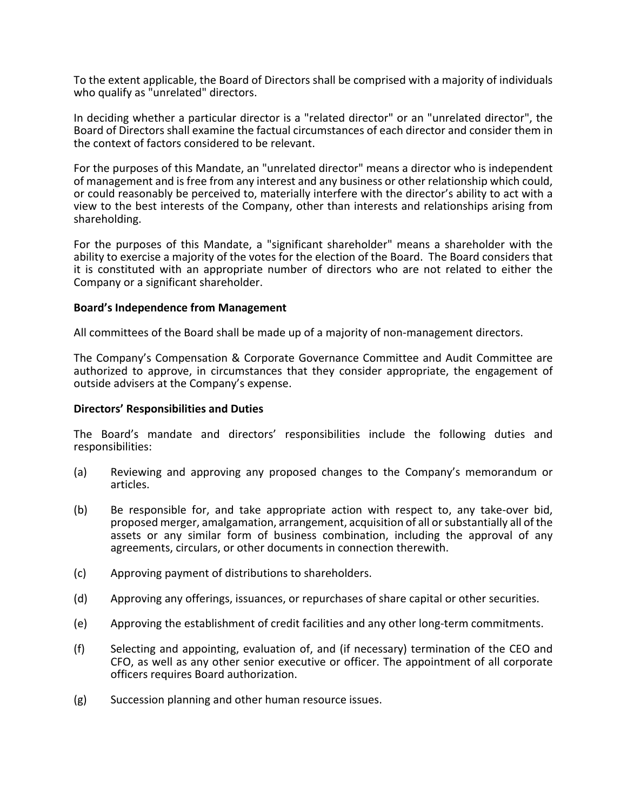To the extent applicable, the Board of Directors shall be comprised with a majority of individuals who qualify as "unrelated" directors.

In deciding whether a particular director is a "related director" or an "unrelated director", the Board of Directors shall examine the factual circumstances of each director and consider them in the context of factors considered to be relevant.

For the purposes of this Mandate, an "unrelated director" means a director who is independent of management and is free from any interest and any business or other relationship which could, or could reasonably be perceived to, materially interfere with the director's ability to act with a view to the best interests of the Company, other than interests and relationships arising from shareholding.

For the purposes of this Mandate, a "significant shareholder" means a shareholder with the ability to exercise a majority of the votes for the election of the Board. The Board considers that it is constituted with an appropriate number of directors who are not related to either the Company or a significant shareholder.

### **Board's Independence from Management**

All committees of the Board shall be made up of a majority of non-management directors.

The Company's Compensation & Corporate Governance Committee and Audit Committee are authorized to approve, in circumstances that they consider appropriate, the engagement of outside advisers at the Company's expense.

#### **Directors' Responsibilities and Duties**

The Board's mandate and directors' responsibilities include the following duties and responsibilities:

- (a) Reviewing and approving any proposed changes to the Company's memorandum or articles.
- (b) Be responsible for, and take appropriate action with respect to, any take-over bid, proposed merger, amalgamation, arrangement, acquisition of all or substantially all of the assets or any similar form of business combination, including the approval of any agreements, circulars, or other documents in connection therewith.
- (c) Approving payment of distributions to shareholders.
- (d) Approving any offerings, issuances, or repurchases of share capital or other securities.
- (e) Approving the establishment of credit facilities and any other long-term commitments.
- (f) Selecting and appointing, evaluation of, and (if necessary) termination of the CEO and CFO, as well as any other senior executive or officer. The appointment of all corporate officers requires Board authorization.
- (g) Succession planning and other human resource issues.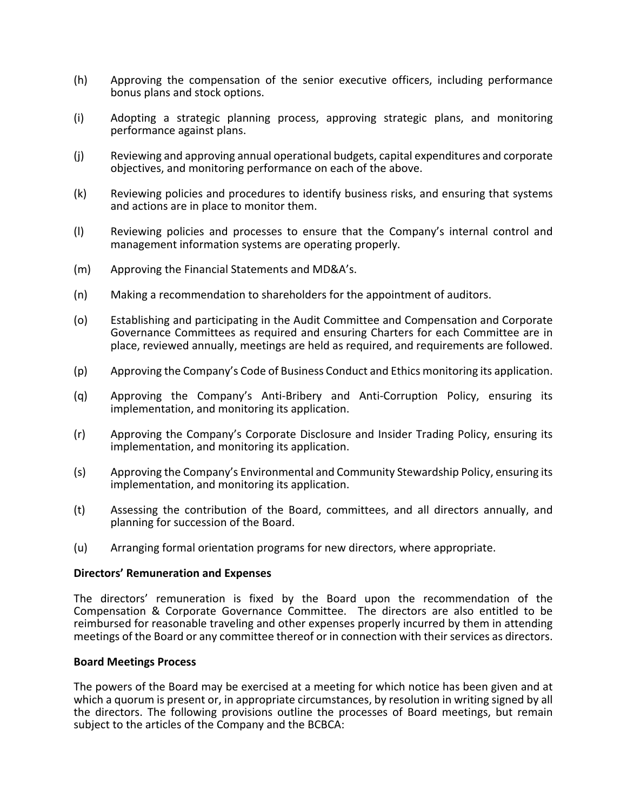- (h) Approving the compensation of the senior executive officers, including performance bonus plans and stock options.
- (i) Adopting a strategic planning process, approving strategic plans, and monitoring performance against plans.
- (j) Reviewing and approving annual operational budgets, capital expenditures and corporate objectives, and monitoring performance on each of the above.
- (k) Reviewing policies and procedures to identify business risks, and ensuring that systems and actions are in place to monitor them.
- (l) Reviewing policies and processes to ensure that the Company's internal control and management information systems are operating properly.
- (m) Approving the Financial Statements and MD&A's.
- (n) Making a recommendation to shareholders for the appointment of auditors.
- (o) Establishing and participating in the Audit Committee and Compensation and Corporate Governance Committees as required and ensuring Charters for each Committee are in place, reviewed annually, meetings are held as required, and requirements are followed.
- (p) Approving the Company's Code of Business Conduct and Ethics monitoring its application.
- (q) Approving the Company's Anti-Bribery and Anti-Corruption Policy, ensuring its implementation, and monitoring its application.
- (r) Approving the Company's Corporate Disclosure and Insider Trading Policy, ensuring its implementation, and monitoring its application.
- (s) Approving the Company's Environmental and Community Stewardship Policy, ensuring its implementation, and monitoring its application.
- (t) Assessing the contribution of the Board, committees, and all directors annually, and planning for succession of the Board.
- (u) Arranging formal orientation programs for new directors, where appropriate.

### **Directors' Remuneration and Expenses**

The directors' remuneration is fixed by the Board upon the recommendation of the Compensation & Corporate Governance Committee. The directors are also entitled to be reimbursed for reasonable traveling and other expenses properly incurred by them in attending meetings of the Board or any committee thereof or in connection with their services as directors.

### **Board Meetings Process**

The powers of the Board may be exercised at a meeting for which notice has been given and at which a quorum is present or, in appropriate circumstances, by resolution in writing signed by all the directors. The following provisions outline the processes of Board meetings, but remain subject to the articles of the Company and the BCBCA: